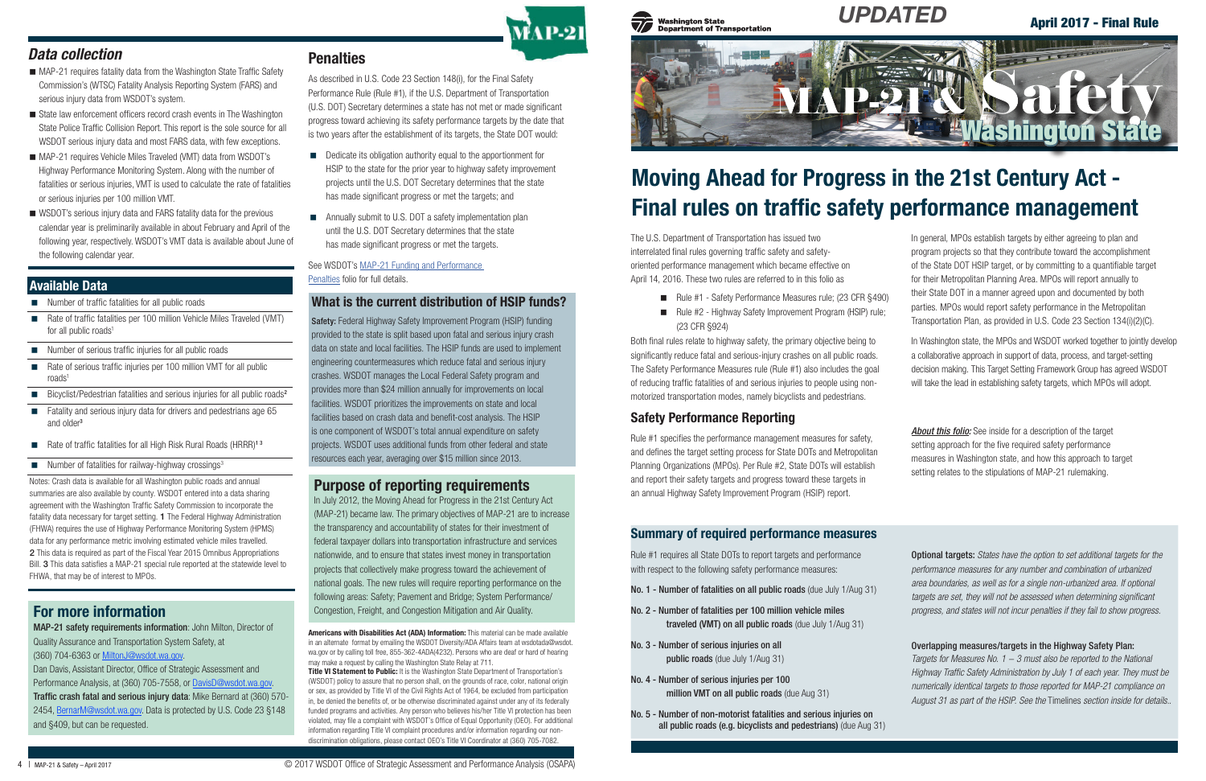## Available Data

State law enforcement officers record crash events in The Washington State Police Traffic Collision Report. This report is the sole source for all WSDOT serious injury data and most FARS data, with few exceptions. MAP-21 requires Vehicle Miles Traveled (VMT) data from WSDOT's Highway Performance Monitoring System. Along with the number of

Notes: Crash data is available for all Washington public roads and annual summaries are also available by county. WSDOT entered into a data sharing agreement with the Washington Traffic Safety Commission to incorporate the fatality data necessary for target setting. 1 The Federal Highway Administration (FHWA) requires the use of Highway Performance Monitoring System (HPMS) data for any performance metric involving estimated vehicle miles travelled. 2 This data is required as part of the Fiscal Year 2015 Omnibus Appropriations Bill. 3 This data satisfies a MAP-21 special rule reported at the statewide level to FHWA, that may be of interest to MPOs.

WSDOT's serious injury data and FARS fatality data for the previous calendar year is preliminarily available in about February and April of the following year, respectively. WSDOT's VMT data is available about June of the following calendar year.

*Data collection*

MAP-21 requires fatality data from the Washington State Traffic Safety Commission's (WTSC) Fatality Analysis Reporting System (FARS) and

serious injury data from WSDOT's system.

Title VI Statement to Public: It is the Washington State Department of Transportation's (WSDOT) policy to assure that no person shall, on the grounds of race, color, national origin or sex, as provided by Title VI of the Civil Rights Act of 1964, be excluded from participation in, be denied the benefits of, or be otherwise discriminated against under any of its federally funded programs and activities. Any person who believes his/her Title VI protection has been violated, may file a complaint with WSDOT's Office of Equal Opportunity (OEO). For additional information regarding Title VI complaint procedures and/or information regarding our nondiscrimination obligations, please contact OEO's Title VI Coordinator at (360) 705-7082.



#### **Washington State Department of Transportation**

Americans with Disabilities Act (ADA) Information: This material can be made available in an alternate format by emailing the WSDOT Diversity/ADA Affairs team at wsdotada@wsdot. wa.gov or by calling toll free, 855-362-4ADA(4232). Persons who are deaf or hard of hearing may make a request by calling the Washington State Relay at 711.

#### fatalities or serious injuries, VMT is used to calculate the rate of fatalities

- Rule #1 Safety Performance Measures rule; (23 CFR §490)
- Rule #2 Highway Safety Improvement Program (HSIP) rule; (23 CFR §924)

or serious injuries per 100 million VMT.

- Number of traffic fatalities for all public roads
- Rate of traffic fatalities per 100 million Vehicle Miles Traveled (VMT) for all public roads<sup>1</sup>
- Number of serious traffic injuries for all public roads
- Rate of serious traffic injuries per 100 million VMT for all public roads<sup>1</sup>
- Bicyclist/Pedestrian fatalities and serious injuries for all public roads<sup>2</sup>
- Fatality and serious injury data for drivers and pedestrians age 65 and older<sup>3</sup>
- Rate of traffic fatalities for all High Risk Rural Roads (HRRR)<sup>13</sup>
- $\blacksquare$  Number of fatalities for railway-highway crossings<sup>3</sup>

# Moving Ahead for Progress in the 21st Century Act - Final rules on traffic safety performance management

The U.S. Department of Transportation has issued two interrelated final rules governing traffic safety and safetyoriented performance management which became effective on April 14, 2016. These two rules are referred to in this folio as

- Dedicate its obligation authority equal to the apportionment for HSIP to the state for the prior year to highway safety improvement projects until the U.S. DOT Secretary determines that the state has made significant progress or met the targets; and
- **EXECUTE:** Annually submit to U.S. DOT a safety implementation plan until the U.S. DOT Secretary determines that the state has made significant progress or met the targets.

In July 2012, the Moving Ahead for Progress in the 21st Century Act (MAP-21) became law. The primary objectives of MAP-21 are to increase the transparency and accountability of states for their investment of federal taxpayer dollars into transportation infrastructure and services nationwide, and to ensure that states invest money in transportation projects that collectively make progress toward the achievement of national goals. The new rules will require reporting performance on the following areas: Safety; Pavement and Bridge; System Performance/ **For more information** Congestion, Freight, and Congestion Mitigation and Air Quality.

Both final rules relate to highway safety, the primary objective being to significantly reduce fatal and serious-injury crashes on all public roads. The Safety Performance Measures rule (Rule #1) also includes the goal of reducing traffic fatalities of and serious injuries to people using nonmotorized transportation modes, namely bicyclists and pedestrians.

## Safety Performance Reporting

Rule #1 specifies the performance management measures for safety, and defines the target setting process for State DOTs and Metropolitan Planning Organizations (MPOs). Per Rule #2, State DOTs will establish and report their safety targets and progress toward these targets in an annual Highway Safety Improvement Program (HSIP) report.

## What is the current distribution of HSIP funds?

Safety: Federal Highway Safety Improvement Program (HSIP) funding provided to the state is split based upon fatal and serious injury crash data on state and local facilities. The HSIP funds are used to implement engineering countermeasures which reduce fatal and serious injury crashes. WSDOT manages the Local Federal Safety program and provides more than \$24 million annually for improvements on local facilities. WSDOT prioritizes the improvements on state and local facilities based on crash data and benefit-cost analysis. The HSIP is one component of WSDOT's total annual expenditure on safety projects. WSDOT uses additional funds from other federal and state resources each year, averaging over \$15 million since 2013.

*About this folio:* See inside for a description of the target setting approach for the five required safety performance measures in Washington state, and how this approach to target setting relates to the stipulations of MAP-21 rulemaking.

In general, MPOs establish targets by either agreeing to plan and program projects so that they contribute toward the accomplishment of the State DOT HSIP target, or by committing to a quantifiable target for their Metropolitan Planning Area. MPOs will report annually to their State DOT in a manner agreed upon and documented by both parties. MPOs would report safety performance in the Metropolitan Transportation Plan, as provided in U.S. Code 23 Section 134(i)(2)(C).

In Washington state, the MPOs and WSDOT worked together to jointly develop a collaborative approach in support of data, process, and target-setting decision making. This Target Setting Framework Group has agreed WSDOT will take the lead in establishing safety targets, which MPOs will adopt.



As described in U.S. Code 23 Section 148(i), for the Final Safety Performance Rule (Rule #1), if the U.S. Department of Transportation (U.S. DOT) Secretary determines a state has not met or made significant progress toward achieving its safety performance targets by the date that is two years after the establishment of its targets, the State DOT would:

See WSDOT's [MAP-21 Funding and Performance](http://www.wsdot.wa.gov/NR/rdonlyres/20F33C3A-B701-4870-A213-6BC1CDB6C6A7/0/FundingMAP21WSDOTFolio.pdf)  [Penalties](http://www.wsdot.wa.gov/NR/rdonlyres/20F33C3A-B701-4870-A213-6BC1CDB6C6A7/0/FundingMAP21WSDOTFolio.pdf) folio for full details.

## Purpose of reporting requirements

MAP-21 safety requirements information: John Milton, Director of Quality Assurance and Transportation System Safety, at (360) 704-6363 or [MiltonJ@wsdot.wa.gov](mailto:MiltonJ%40wsdot.wa.gov?subject=MAP-21%20Safety%20Requirements).

Dan Davis, Assistant Director, Office of Strategic Assessment and Performance Analysis, at (360) 705-7558, or Davis[D@wsdot.wa.gov.](mailto:MiltonJ%40wsdot.wa.gov?subject=MAP-21%20Safety%20Requirements) Traffic crash fatal and serious injury data: Mike Bernard at (360) 570- 2454, [BernarM@wsdot.wa.gov.](mailto:BernarM%40wsdot.wa.gov?subject=Traffice%20Crash%20Fatal%20and%20Serious%20Injury%20Data) Data is protected by U.S. Code 23 §148 and §409, but can be requested.

## **Penalties**

Optional targets: *States have the option to set additional targets for the performance measures for any number and combination of urbanized area boundaries, as well as for a single non-urbanized area. If optional targets are set, they will not be assessed when determining significant progress, and states will not incur penalties if they fail to show progress.* 

#### Overlapping measures/targets in the Highway Safety Plan:

*Targets for Measures No. 1 − 3 must also be reported to the National Highway Traffic Safety Administration by July 1 of each year. They must be numerically identical targets to those reported for MAP-21 compliance on August 31 as part of the HSIP. See the* Timelines *section inside for details..*

## Summary of required performance measures

Rule #1 requires all State DOTs to report targets and performance with respect to the following safety performance measures:

- No. 1 Number of fatalities on all public roads (due July 1/Aug 31)
- No. 2 Number of fatalities per 100 million vehicle miles traveled (VMT) on all public roads (due July 1/Aug 31)
- No. 3 Number of serious injuries on all public roads (due July 1/Aug 31)
- No. 4 Number of serious injuries per 100 million VMT on all public roads (due Aug 31)
- No. 5 Number of non-motorist fatalities and serious injuries on all public roads (e.g. bicyclists and pedestrians) (due Aug 31)